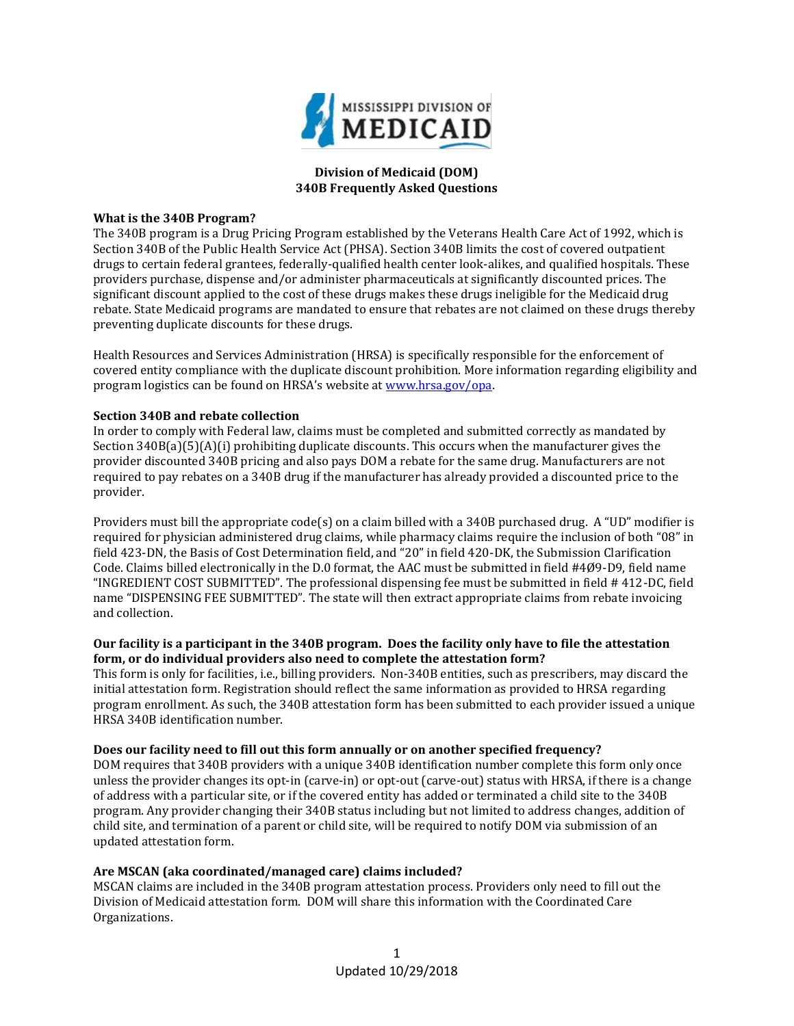

# **Division of Medicaid (DOM) 340B Frequently Asked Questions**

#### **What is the 340B Program?**

The 340B program is a Drug Pricing Program established by the Veterans Health Care Act of 1992, which is Section 340B of the Public Health Service Act (PHSA). Section 340B limits the cost of covered outpatient drugs to certain federal grantees, federally-qualified health center look-alikes, and qualified hospitals. These providers purchase, dispense and/or administer pharmaceuticals at significantly discounted prices. The significant discount applied to the cost of these drugs makes these drugs ineligible for the Medicaid drug rebate. State Medicaid programs are mandated to ensure that rebates are not claimed on these drugs thereby preventing duplicate discounts for these drugs.

Health Resources and Services Administration (HRSA) is specifically responsible for the enforcement of covered entity compliance with the duplicate discount prohibition. More information regarding eligibility and program logistics can be found on HRSA's website at [www.hrsa.gov/opa.](http://www.hrsa.gov/opa)

### **Section 340B and rebate collection**

In order to comply with Federal law, claims must be completed and submitted correctly as mandated by Section 340B(a)(5)(A)(i) prohibiting duplicate discounts. This occurs when the manufacturer gives the provider discounted 340B pricing and also pays DOM a rebate for the same drug. Manufacturers are not required to pay rebates on a 340B drug if the manufacturer has already provided a discounted price to the provider.

Providers must bill the appropriate code(s) on a claim billed with a 340B purchased drug. A "UD" modifier is required for physician administered drug claims, while pharmacy claims require the inclusion of both "08" in field 423-DN, the Basis of Cost Determination field, and "20" in field 420-DK, the Submission Clarification Code. Claims billed electronically in the D.0 format, the AAC must be submitted in field #4Ø9-D9, field name "INGREDIENT COST SUBMITTED". The professional dispensing fee must be submitted in field # 412-DC, field name "DISPENSING FEE SUBMITTED". The state will then extract appropriate claims from rebate invoicing and collection.

### **Our facility is a participant in the 340B program. Does the facility only have to file the attestation form, or do individual providers also need to complete the attestation form?**

This form is only for facilities, i.e., billing providers. Non-340B entities, such as prescribers, may discard the initial attestation form. Registration should reflect the same information as provided to HRSA regarding program enrollment. As such, the 340B attestation form has been submitted to each provider issued a unique HRSA 340B identification number.

### **Does our facility need to fill out this form annually or on another specified frequency?**

DOM requires that 340B providers with a unique 340B identification number complete this form only once unless the provider changes its opt-in (carve-in) or opt-out (carve-out) status with HRSA, if there is a change of address with a particular site, or if the covered entity has added or terminated a child site to the 340B program. Any provider changing their 340B status including but not limited to address changes, addition of child site, and termination of a parent or child site, will be required to notify DOM via submission of an updated attestation form.

### **Are MSCAN (aka coordinated/managed care) claims included?**

MSCAN claims are included in the 340B program attestation process. Providers only need to fill out the Division of Medicaid attestation form. DOM will share this information with the Coordinated Care Organizations.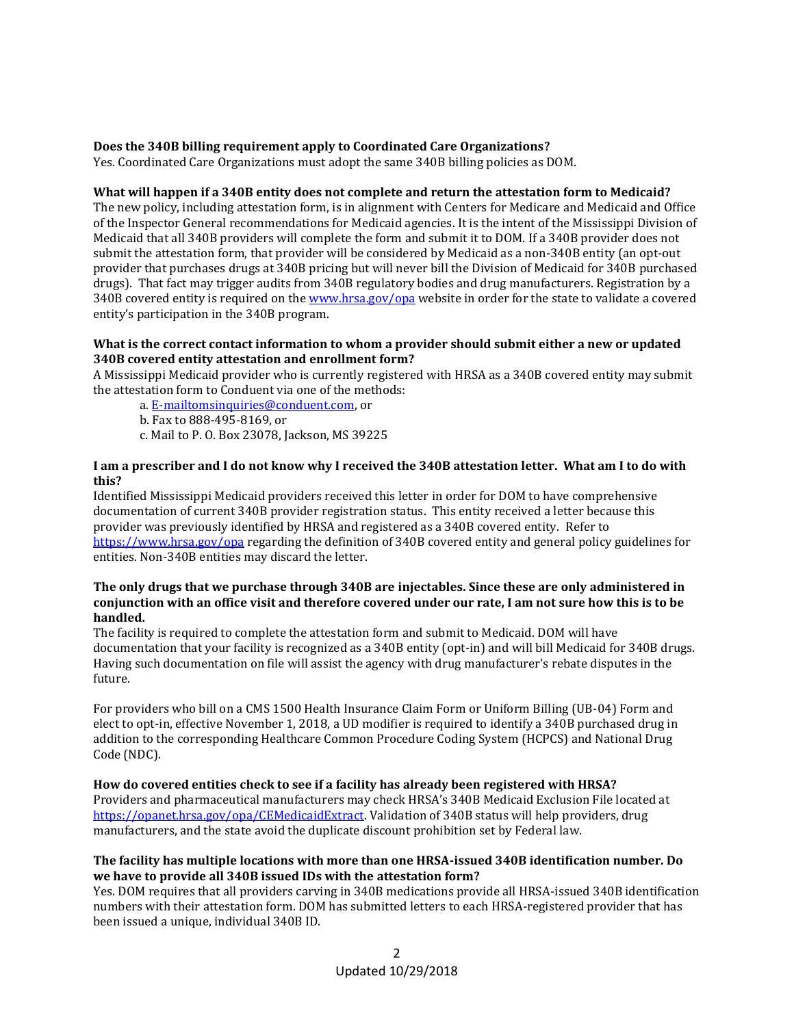## **Does the 340B billing requirement apply to Coordinated Care Organizations?**

Yes. Coordinated Care Organizations must adopt the same 340B billing policies as DOM.

### **What will happen if a 340B entity does not complete and return the attestation form to Medicaid?**

The new policy, including attestation form, is in alignment with Centers for Medicare and Medicaid and Office of the Inspector General recommendations for Medicaid agencies. It is the intent of the Mississippi Division of Medicaid that all 340B providers will complete the form and submit it to DOM. If a 340B provider does not submit the attestation form, that provider will be considered by Medicaid as a non-340B entity (an opt-out provider that purchases drugs at 340B pricing but will never bill the Division of Medicaid for 340B purchased drugs). That fact may trigger audits from 340B regulatory bodies and drug manufacturers. Registration by a 340B covered entity is required on th[e www.hrsa.gov/opa](http://www.hrsa.gov/opa) website in order for the state to validate a covered entity's participation in the 340B program.

#### **What is the correct contact information to whom a provider should submit either a new or updated 340B covered entity attestation and enrollment form?**

A Mississippi Medicaid provider who is currently registered with HRSA as a 340B covered entity may submit the attestation form to Conduent via one of the methods:

a. [E-mailtomsinquiries@conduent.com,](mailto:E-mailtomsinquiries@conduent.com) or

- b. Fax to 888-495-8169, or
- c. Mail to P. O. Box 23078, Jackson, MS 39225

## **I am a prescriber and I do not know why I received the 340B attestation letter. What am I to do with this?**

Identified Mississippi Medicaid providers received this letter in order for DOM to have comprehensive documentation of current 340B provider registration status. This entity received a letter because this provider was previously identified by HRSA and registered as a 340B covered entity. Refer to <https://www.hrsa.gov/opa> regarding the definition of 340B covered entity and general policy guidelines for entities. Non-340B entities may discard the letter.

### **The only drugs that we purchase through 340B are injectables. Since these are only administered in conjunction with an office visit and therefore covered under our rate, I am not sure how this is to be handled.**

The facility is required to complete the attestation form and submit to Medicaid. DOM will have documentation that your facility is recognized as a 340B entity (opt-in) and will bill Medicaid for 340B drugs. Having such documentation on file will assist the agency with drug manufacturer's rebate disputes in the future.

For providers who bill on a CMS 1500 Health Insurance Claim Form or Uniform Billing (UB-04) Form and elect to opt-in, effective November 1, 2018, a UD modifier is required to identify a 340B purchased drug in addition to the corresponding Healthcare Common Procedure Coding System (HCPCS) and National Drug Code (NDC).

### **How do covered entities check to see if a facility has already been registered with HRSA?**

Providers and pharmaceutical manufacturers may check HRSA's 340B Medicaid Exclusion File located at [https://opanet.hrsa.gov/opa/CEMedicaidExtract.](https://opanet.hrsa.gov/opa/CEMedicaidExtract) Validation of 340B status will help providers, drug manufacturers, and the state avoid the duplicate discount prohibition set by Federal law.

### **The facility has multiple locations with more than one HRSA-issued 340B identification number. Do we have to provide all 340B issued IDs with the attestation form?**

Yes. DOM requires that all providers carving in 340B medications provide all HRSA-issued 340B identification numbers with their attestation form. DOM has submitted letters to each HRSA-registered provider that has been issued a unique, individual 340B ID.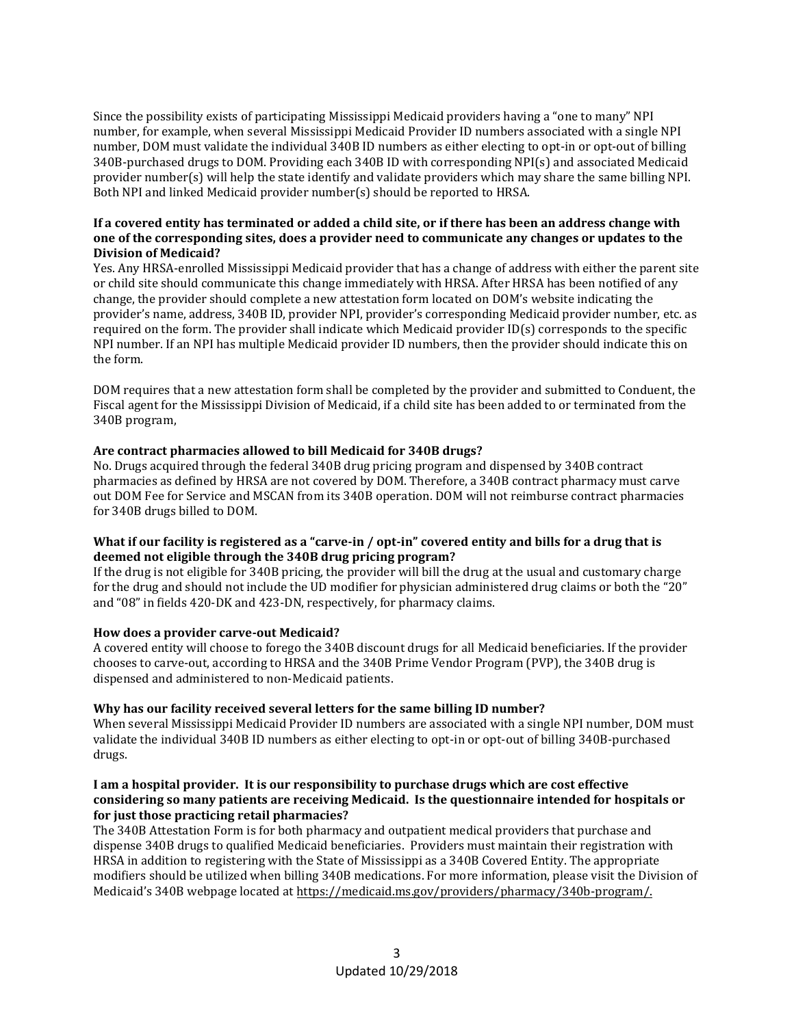Since the possibility exists of participating Mississippi Medicaid providers having a "one to many" NPI number, for example, when several Mississippi Medicaid Provider ID numbers associated with a single NPI number, DOM must validate the individual 340B ID numbers as either electing to opt-in or opt-out of billing 340B-purchased drugs to DOM. Providing each 340B ID with corresponding NPI(s) and associated Medicaid provider number(s) will help the state identify and validate providers which may share the same billing NPI. Both NPI and linked Medicaid provider number(s) should be reported to HRSA.

## **If a covered entity has terminated or added a child site, or if there has been an address change with one of the corresponding sites, does a provider need to communicate any changes or updates to the Division of Medicaid?**

Yes. Any HRSA-enrolled Mississippi Medicaid provider that has a change of address with either the parent site or child site should communicate this change immediately with HRSA. After HRSA has been notified of any change, the provider should complete a new attestation form located on DOM's website indicating the provider's name, address, 340B ID, provider NPI, provider's corresponding Medicaid provider number, etc. as required on the form. The provider shall indicate which Medicaid provider ID(s) corresponds to the specific NPI number. If an NPI has multiple Medicaid provider ID numbers, then the provider should indicate this on the form.

DOM requires that a new attestation form shall be completed by the provider and submitted to Conduent, the Fiscal agent for the Mississippi Division of Medicaid, if a child site has been added to or terminated from the 340B program,

# **Are contract pharmacies allowed to bill Medicaid for 340B drugs?**

No. Drugs acquired through the federal 340B drug pricing program and dispensed by 340B contract pharmacies as defined by HRSA are not covered by DOM. Therefore, a 340B contract pharmacy must carve out DOM Fee for Service and MSCAN from its 340B operation. DOM will not reimburse contract pharmacies for 340B drugs billed to DOM.

# **What if our facility is registered as a "carve-in / opt-in" covered entity and bills for a drug that is deemed not eligible through the 340B drug pricing program?**

If the drug is not eligible for 340B pricing, the provider will bill the drug at the usual and customary charge for the drug and should not include the UD modifier for physician administered drug claims or both the "20" and "08" in fields 420-DK and 423-DN, respectively, for pharmacy claims.

### **How does a provider carve-out Medicaid?**

A covered entity will choose to forego the 340B discount drugs for all Medicaid beneficiaries. If the provider chooses to carve-out, according to HRSA and the 340B Prime Vendor Program (PVP), the 340B drug is dispensed and administered to non-Medicaid patients.

### **Why has our facility received several letters for the same billing ID number?**

When several Mississippi Medicaid Provider ID numbers are associated with a single NPI number, DOM must validate the individual 340B ID numbers as either electing to opt-in or opt-out of billing 340B-purchased drugs.

## **I am a hospital provider. It is our responsibility to purchase drugs which are cost effective considering so many patients are receiving Medicaid. Is the questionnaire intended for hospitals or for just those practicing retail pharmacies?**

The 340B Attestation Form is for both pharmacy and outpatient medical providers that purchase and dispense 340B drugs to qualified Medicaid beneficiaries. Providers must maintain their registration with HRSA in addition to registering with the State of Mississippi as a 340B Covered Entity. The appropriate modifiers should be utilized when billing 340B medications. For more information, please visit the Division of Medicaid's 340B webpage located at [https://medicaid.ms.gov/providers/pharmacy/340b-program/.](https://medicaid.ms.gov/providers/pharmacy/340b-program/)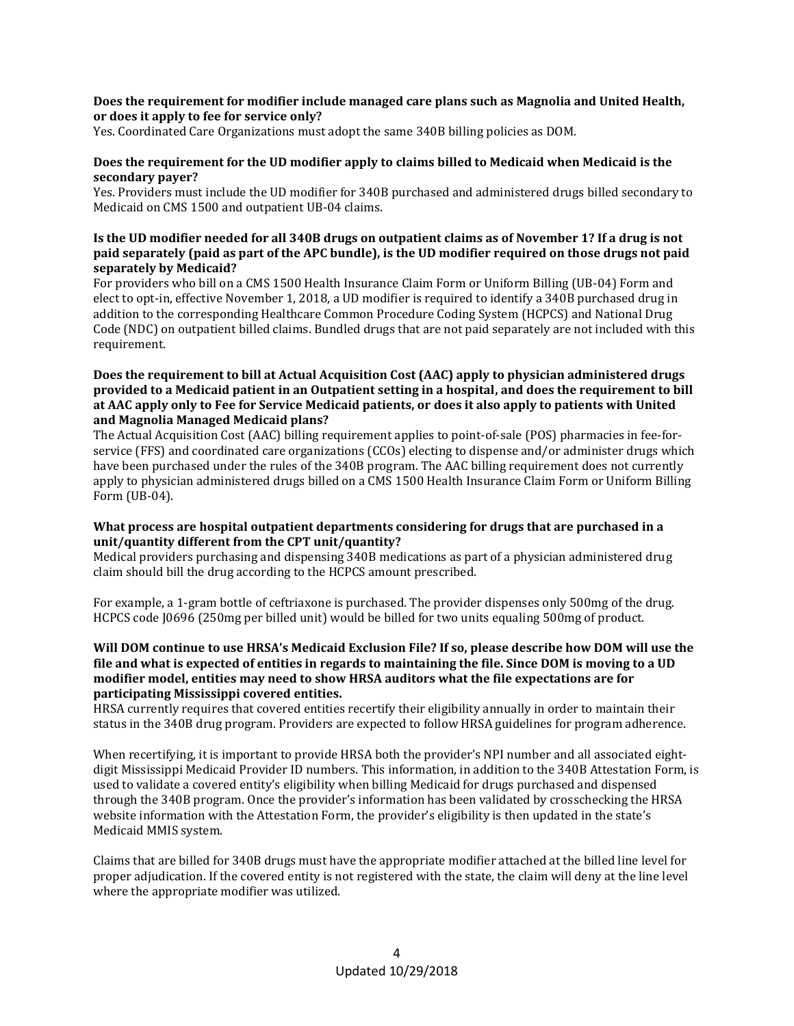### **Does the requirement for modifier include managed care plans such as Magnolia and United Health, or does it apply to fee for service only?**

Yes. Coordinated Care Organizations must adopt the same 340B billing policies as DOM.

# **Does the requirement for the UD modifier apply to claims billed to Medicaid when Medicaid is the secondary payer?**

Yes. Providers must include the UD modifier for 340B purchased and administered drugs billed secondary to Medicaid on CMS 1500 and outpatient UB-04 claims.

# **Is the UD modifier needed for all 340B drugs on outpatient claims as of November 1? If a drug is not paid separately (paid as part of the APC bundle), is the UD modifier required on those drugs not paid separately by Medicaid?**

For providers who bill on a CMS 1500 Health Insurance Claim Form or Uniform Billing (UB-04) Form and elect to opt-in, effective November 1, 2018, a UD modifier is required to identify a 340B purchased drug in addition to the corresponding Healthcare Common Procedure Coding System (HCPCS) and National Drug Code (NDC) on outpatient billed claims. Bundled drugs that are not paid separately are not included with this requirement.

## **Does the requirement to bill at Actual Acquisition Cost (AAC) apply to physician administered drugs provided to a Medicaid patient in an Outpatient setting in a hospital, and does the requirement to bill at AAC apply only to Fee for Service Medicaid patients, or does it also apply to patients with United and Magnolia Managed Medicaid plans?**

The Actual Acquisition Cost (AAC) billing requirement applies to point-of-sale (POS) pharmacies in fee-forservice (FFS) and coordinated care organizations (CCOs) electing to dispense and/or administer drugs which have been purchased under the rules of the 340B program. The AAC billing requirement does not currently apply to physician administered drugs billed on a CMS 1500 Health Insurance Claim Form or Uniform Billing Form (UB-04).

# **What process are hospital outpatient departments considering for drugs that are purchased in a unit/quantity different from the CPT unit/quantity?**

Medical providers purchasing and dispensing 340B medications as part of a physician administered drug claim should bill the drug according to the HCPCS amount prescribed.

For example, a 1-gram bottle of ceftriaxone is purchased. The provider dispenses only 500mg of the drug. HCPCS code J0696 (250mg per billed unit) would be billed for two units equaling 500mg of product.

## **Will DOM continue to use HRSA's Medicaid Exclusion File? If so, please describe how DOM will use the file and what is expected of entities in regards to maintaining the file. Since DOM is moving to a UD modifier model, entities may need to show HRSA auditors what the file expectations are for participating Mississippi covered entities.**

HRSA currently requires that covered entities recertify their eligibility annually in order to maintain their status in the 340B drug program. Providers are expected to follow HRSA guidelines for program adherence.

When recertifying, it is important to provide HRSA both the provider's NPI number and all associated eightdigit Mississippi Medicaid Provider ID numbers. This information, in addition to the 340B Attestation Form, is used to validate a covered entity's eligibility when billing Medicaid for drugs purchased and dispensed through the 340B program. Once the provider's information has been validated by crosschecking the HRSA website information with the Attestation Form, the provider's eligibility is then updated in the state's Medicaid MMIS system.

Claims that are billed for 340B drugs must have the appropriate modifier attached at the billed line level for proper adjudication. If the covered entity is not registered with the state, the claim will deny at the line level where the appropriate modifier was utilized.